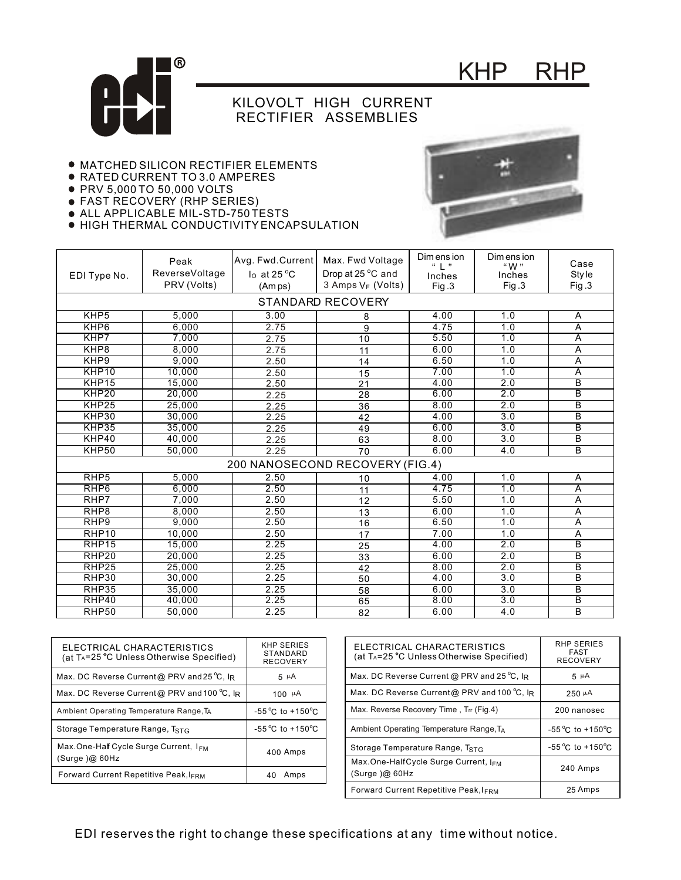

## KHP RHP

## KILOVOLT HIGH CURRENT RECTIFIER ASSEMBLIES

- MATCHED SILICON RECTIFIER ELEMENTS
- RATED CURRENT TO 3.0 AMPERES
- PRV 5,000 TO 50,000 VOLTS
- FAST RECOVERY (RHP SERIES)
- ALL APPLICABLE MIL-STD-750 TESTS

HIGH THERMAL CONDUCTIVITY ENCAPSULATION



| ELECTRICAL CHARACTERISTICS<br>(at T <sub>A</sub> =25 °C Unless Otherwise Specified) | <b>KHP SERIES</b><br>STANDARD<br><b>RECOVERY</b> |
|-------------------------------------------------------------------------------------|--------------------------------------------------|
| Max. DC Reverse Current@ PRV and 25 °C, IR                                          | 5 PA                                             |
| Max. DC Reverse Current@ PRV and 100 °C, lR                                         | 100 $\mu$ A                                      |
| Ambient Operating Temperature Range, T <sub>A</sub>                                 | $-55^{\circ}$ C to $+150^{\circ}$ C              |
| Storage Temperature Range, T <sub>STG</sub>                                         | $-55^{\circ}$ C to $+150^{\circ}$ C              |
| Max.One-Half Cycle Surge Current, I <sub>FM</sub><br>(Surge)@60Hz                   | 400 Amps                                         |
| Forward Current Repetitive Peak, IFRM                                               | Amps<br>40                                       |

| ELECTRICAL CHARACTERISTICS<br>(at T <sub>A</sub> =25 °C Unless Otherwise Specified) | RHP SERIES<br><b>FAST</b><br><b>RECOVERY</b> |
|-------------------------------------------------------------------------------------|----------------------------------------------|
| Max. DC Reverse Current @ PRV and 25 °C, $\overline{R}$                             | 5 µ A                                        |
| Max. DC Reverse Current@ PRV and 100 °C, IR                                         | $250 \mu A$                                  |
| Max. Reverse Recovery Time, Trr (Fig.4)                                             | 200 nanosec                                  |
| Ambient Operating Temperature Range, T <sub>A</sub>                                 | $-55^{\circ}$ C to $+150^{\circ}$ C          |
| Storage Temperature Range, TstG                                                     | $-55^{\circ}$ C to $+150^{\circ}$ C          |
| Max.One-HalfCycle Surge Current, IFM<br>(Surge)@60Hz                                | 240 Amps                                     |
| <b>Forward Current Repetitive Peak, IFRM</b>                                        | 25 Amps                                      |

EDI reserves the right to change these specifications at any time without notice.